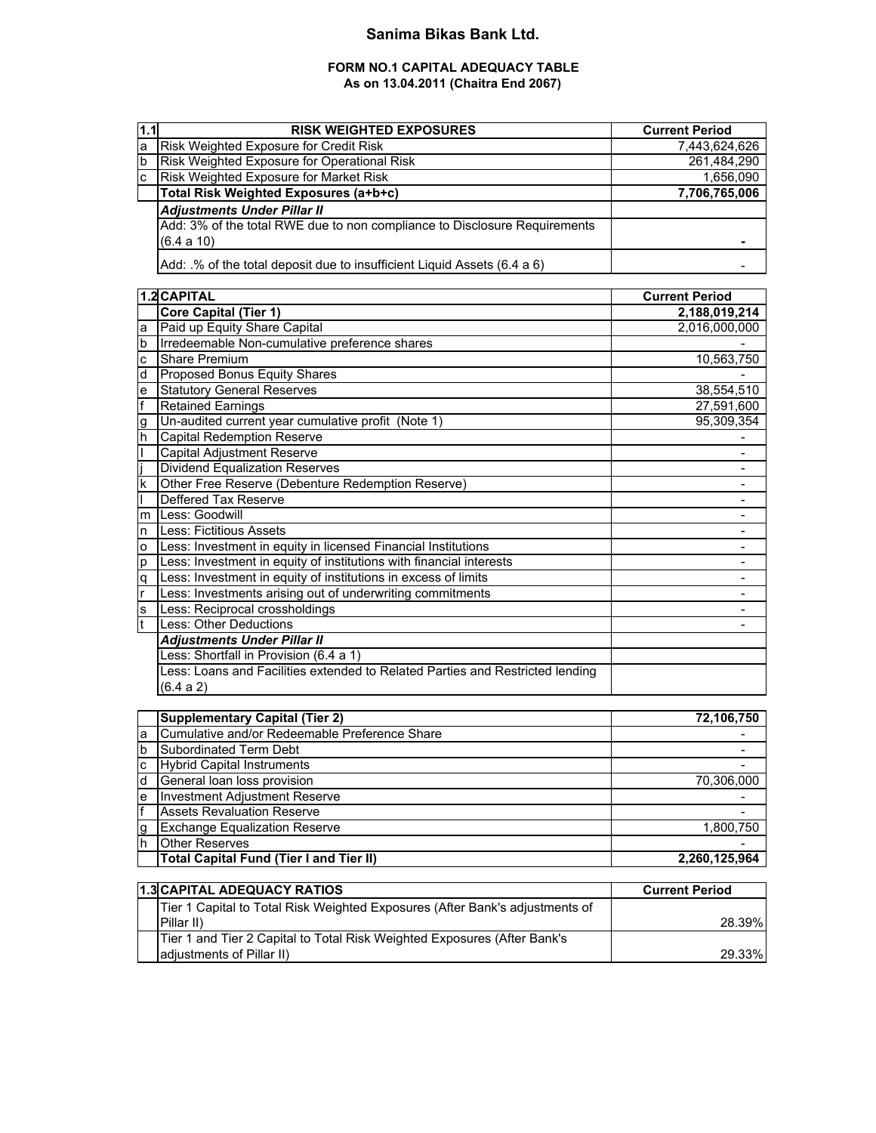## **Sanima Bikas Bank Ltd.**

### **FORM NO.1 CAPITAL ADEQUACY TABLE As on 13.04.2011 (Chaitra End 2067)**

| 1.1 | <b>RISK WEIGHTED EXPOSURES</b>                                            | <b>Current Period</b> |
|-----|---------------------------------------------------------------------------|-----------------------|
| la  | <b>Risk Weighted Exposure for Credit Risk</b>                             | 7,443,624,626         |
| Ib  | Risk Weighted Exposure for Operational Risk                               | 261,484,290           |
| lc. | Risk Weighted Exposure for Market Risk                                    | 1.656.090             |
|     | Total Risk Weighted Exposures (a+b+c)                                     | 7,706,765,006         |
|     | <b>Adjustments Under Pillar II</b>                                        |                       |
|     | Add: 3% of the total RWE due to non compliance to Disclosure Requirements |                       |
|     | (6.4 a 10)                                                                |                       |
|     | Add: .% of the total deposit due to insufficient Liquid Assets (6.4 a 6)  |                       |

|    | 1.2 CAPITAL                                                                   | <b>Current Period</b> |
|----|-------------------------------------------------------------------------------|-----------------------|
|    | Core Capital (Tier 1)                                                         | 2,188,019,214         |
| a  | Paid up Equity Share Capital                                                  | 2,016,000,000         |
| b  | Irredeemable Non-cumulative preference shares                                 |                       |
| c  | Share Premium                                                                 | 10,563,750            |
| d  | <b>Proposed Bonus Equity Shares</b>                                           |                       |
| e  | <b>Statutory General Reserves</b>                                             | 38,554,510            |
|    | <b>Retained Earnings</b>                                                      | 27,591,600            |
| g  | Un-audited current year cumulative profit (Note 1)                            | 95,309,354            |
| h  | <b>Capital Redemption Reserve</b>                                             |                       |
|    | Capital Adjustment Reserve                                                    |                       |
|    | <b>Dividend Equalization Reserves</b>                                         |                       |
| k  | Other Free Reserve (Debenture Redemption Reserve)                             |                       |
|    | Deffered Tax Reserve                                                          |                       |
| m  | Less: Goodwill                                                                |                       |
| n  | Less: Fictitious Assets                                                       |                       |
| o  | Less: Investment in equity in licensed Financial Institutions                 |                       |
| р  | Less: Investment in equity of institutions with financial interests           |                       |
| q  | Less: Investment in equity of institutions in excess of limits                |                       |
| r  | ess: Investments arising out of underwriting commitments                      |                       |
| ls | Less: Reciprocal crossholdings                                                |                       |
| t  | <b>Less: Other Deductions</b>                                                 |                       |
|    | <b>Adjustments Under Pillar II</b>                                            |                       |
|    | Less: Shortfall in Provision (6.4 a 1)                                        |                       |
|    | Less: Loans and Facilities extended to Related Parties and Restricted lending |                       |
|    | (6.4 a 2)                                                                     |                       |

|     | <b>Supplementary Capital (Tier 2)</b>          | 72,106,750    |
|-----|------------------------------------------------|---------------|
| a   | Cumulative and/or Redeemable Preference Share  |               |
| ıb. | Subordinated Term Debt                         |               |
| C   | <b>Hybrid Capital Instruments</b>              |               |
| ıd  | General loan loss provision                    | 70,306,000    |
| e   | <b>Investment Adjustment Reserve</b>           |               |
|     | <b>Assets Revaluation Reserve</b>              |               |
| g   | <b>Exchange Equalization Reserve</b>           | 1,800,750     |
| Ih  | <b>Other Reserves</b>                          |               |
|     | <b>Total Capital Fund (Tier I and Tier II)</b> | 2.260.125.964 |

| 1.3 CAPITAL ADEQUACY RATIOS                                                  | <b>Current Period</b> |
|------------------------------------------------------------------------------|-----------------------|
| Tier 1 Capital to Total Risk Weighted Exposures (After Bank's adjustments of |                       |
| Pillar II)                                                                   | 28.39%                |
| Tier 1 and Tier 2 Capital to Total Risk Weighted Exposures (After Bank's     |                       |
| ladiustments of Pillar II)                                                   | 29.33%                |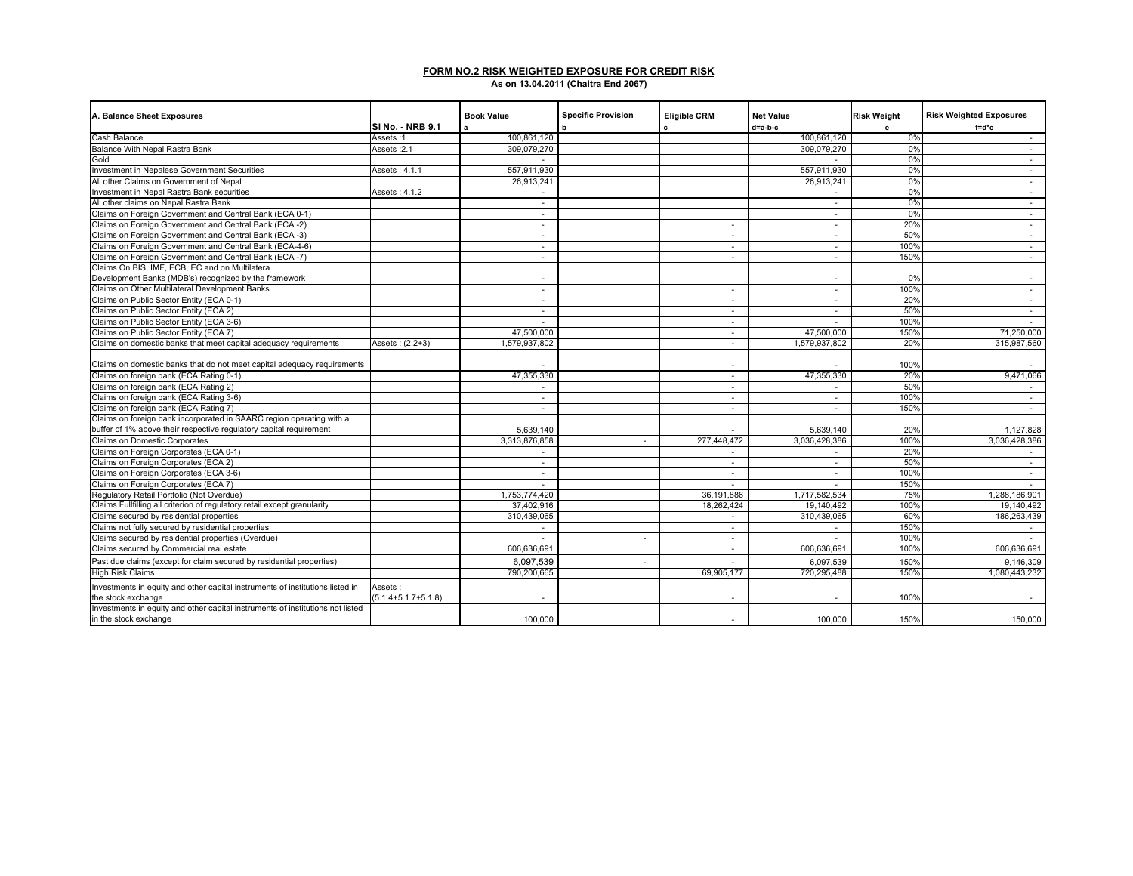#### **FORM NO.2 RISK WEIGHTED EXPOSURE FOR CREDIT RISK As on 13.04.2011 (Chaitra End 2067)**

| A. Balance Sheet Exposures                                                     |                           | <b>Book Value</b>        | <b>Specific Provision</b> | <b>Eligible CRM</b> | <b>Net Value</b> | <b>Risk Weight</b> | <b>Risk Weighted Exposures</b> |
|--------------------------------------------------------------------------------|---------------------------|--------------------------|---------------------------|---------------------|------------------|--------------------|--------------------------------|
|                                                                                | ISI No. - NRB 9.1         | a                        | b                         | c                   | $d = a - b - c$  | e                  | $f = d*e$                      |
| Cash Balance                                                                   | Assets:1                  | 100.861.120              |                           |                     | 100.861.120      | 0%                 | $\sim$                         |
| Balance With Nepal Rastra Bank                                                 | Assets: 2.1               | 309,079,270              |                           |                     | 309,079,270      | 0%                 | $\sim$                         |
| Gold                                                                           |                           |                          |                           |                     |                  | 0%                 | $\sim$                         |
| Investment in Nepalese Government Securities                                   | Assets: 4.1.1             | 557,911,930              |                           |                     | 557.911.930      | 0%                 | $\sim$                         |
| All other Claims on Government of Nepal                                        |                           | 26.913.241               |                           |                     | 26.913.241       | 0%                 | $\sim$                         |
| Investment in Nepal Rastra Bank securities                                     | Assets: 4.1.2             | $\sim$                   |                           |                     | $\sim$           | 0%                 | $\sim$                         |
| All other claims on Nepal Rastra Bank                                          |                           | $\sim$                   |                           |                     | $\sim$           | 0%                 | $\sim$                         |
| Claims on Foreign Government and Central Bank (ECA 0-1)                        |                           | $\sim$                   |                           |                     | $\sim$           | 0%                 | $\sim$                         |
| Claims on Foreign Government and Central Bank (ECA -2)                         |                           | $\sim$                   |                           | $\sim$              | $\sim$           | 20%                | $\sim$                         |
| Claims on Foreign Government and Central Bank (ECA -3)                         |                           | $\sim$                   |                           | $\sim$              | $\sim$           | 50%                | $\sim$                         |
| Claims on Foreign Government and Central Bank (ECA-4-6)                        |                           | $\overline{\phantom{a}}$ |                           | $\sim$              | $\sim$           | 100%               | $\sim$                         |
| Claims on Foreign Government and Central Bank (ECA -7)                         |                           | $\overline{\phantom{a}}$ |                           | $\sim$              | $\sim$           | 150%               | $\sim$                         |
| Claims On BIS, IMF, ECB, EC and on Multilatera                                 |                           |                          |                           |                     |                  |                    |                                |
| Development Banks (MDB's) recognized by the framework                          |                           |                          |                           |                     | $\sim$           | 0%                 |                                |
| Claims on Other Multilateral Development Banks                                 |                           | $\sim$                   |                           | $\sim$              | $\sim$           | 100%               | $\sim$                         |
| Claims on Public Sector Entity (ECA 0-1)                                       |                           | $\overline{\phantom{a}}$ |                           | $\sim$              | $\sim$           | 20%                | $\sim$                         |
| Claims on Public Sector Entity (ECA 2)                                         |                           | $\sim$                   |                           | $\sim$              | $\sim$           | 50%                | $\sim$                         |
| Claims on Public Sector Entity (ECA 3-6)                                       |                           | $\sim$                   |                           | $\sim$              |                  | 100%               |                                |
| Claims on Public Sector Entity (ECA 7)                                         |                           | 47.500.000               |                           | $\sim$              | 47.500.000       | 150%               | 71.250.000                     |
| Claims on domestic banks that meet capital adequacy requirements               | Assets: (2.2+3)           | 1,579,937,802            |                           | $\sim$              | 1,579,937,802    | 20%                | 315,987,560                    |
| Claims on domestic banks that do not meet capital adequacy requirements        |                           |                          |                           | $\sim$              |                  | 100%               |                                |
| Claims on foreign bank (ECA Rating 0-1)                                        |                           | 47,355,330               |                           | $\sim$              | 47,355,330       | 20%                | 9,471,066                      |
| Claims on foreign bank (ECA Rating 2)                                          |                           | $\sim$                   |                           | $\sim$              | $\sim$           | 50%                | $\sim$                         |
| Claims on foreign bank (ECA Rating 3-6)                                        |                           | $\overline{\phantom{a}}$ |                           | $\sim$              | $\sim$           | 100%               | $\sim$                         |
| Claims on foreign bank (ECA Rating 7)                                          |                           | $\sim$                   |                           | $\sim$              | $\sim$           | 150%               | $\sim$                         |
| Claims on foreign bank incorporated in SAARC region operating with a           |                           |                          |                           |                     |                  |                    |                                |
| buffer of 1% above their respective regulatory capital requirement             |                           | 5,639,140                |                           |                     | 5,639,140        | 20%                | 1,127,828                      |
| Claims on Domestic Corporates                                                  |                           | 3,313,876,858            | $\sim$                    | 277,448,472         | 3,036,428,386    | 100%               | 3,036,428,386                  |
| Claims on Foreign Corporates (ECA 0-1)                                         |                           |                          |                           | $\sim$              |                  | 20%                |                                |
| Claims on Foreign Corporates (ECA 2)                                           |                           | $\sim$                   |                           | $\sim$              | $\sim$           | 50%                | $\sim$                         |
| Claims on Foreign Corporates (ECA 3-6)                                         |                           | $\overline{\phantom{a}}$ |                           | $\sim$              | $\sim$           | 100%               |                                |
| Claims on Foreign Corporates (ECA 7)                                           |                           | $\sim$                   |                           | $\sim$              | $\sim$           | 150%               | $\sim$<br>$\sim$               |
| Regulatory Retail Portfolio (Not Overdue)                                      |                           | 1,753,774,420            |                           | 36,191,886          | 1,717,582,534    | 75%                | 1,288,186,901                  |
| Claims Fullfilling all criterion of regulatory retail except granularity       |                           | 37.402.916               |                           | 18.262.424          | 19,140,492       | 100%               | 19,140,492                     |
| Claims secured by residential properties                                       |                           | 310,439,065              |                           |                     | 310,439,065      | 60%                | 186,263,439                    |
| Claims not fully secured by residential properties                             |                           | $\sim$                   |                           | $\sim$              | $\sim$           | 150%               |                                |
| Claims secured by residential properties (Overdue)                             |                           |                          | $\sim$                    | $\sim$              |                  | 100%               |                                |
| Claims secured by Commercial real estate                                       |                           | 606.636.691              |                           |                     | 606,636,691      | 100%               | 606.636.691                    |
|                                                                                |                           |                          |                           | $\sim$              |                  |                    |                                |
| Past due claims (except for claim secured by residential properties)           |                           | 6,097,539                | $\sim$                    |                     | 6,097,539        | 150%               | 9,146,309                      |
| <b>High Risk Claims</b>                                                        |                           | 790,200,665              |                           | 69,905,177          | 720,295,488      | 150%               | 1,080,443,232                  |
| Investments in equity and other capital instruments of institutions listed in  | Assets:                   |                          |                           |                     |                  |                    |                                |
| the stock exchange                                                             | $(5.1.4 + 5.1.7 + 5.1.8)$ |                          |                           |                     |                  | 100%               |                                |
| Investments in equity and other capital instruments of institutions not listed |                           |                          |                           |                     |                  |                    |                                |
| in the stock exchange                                                          |                           | 100,000                  |                           | $\sim$              | 100,000          | 150%               | 150,000                        |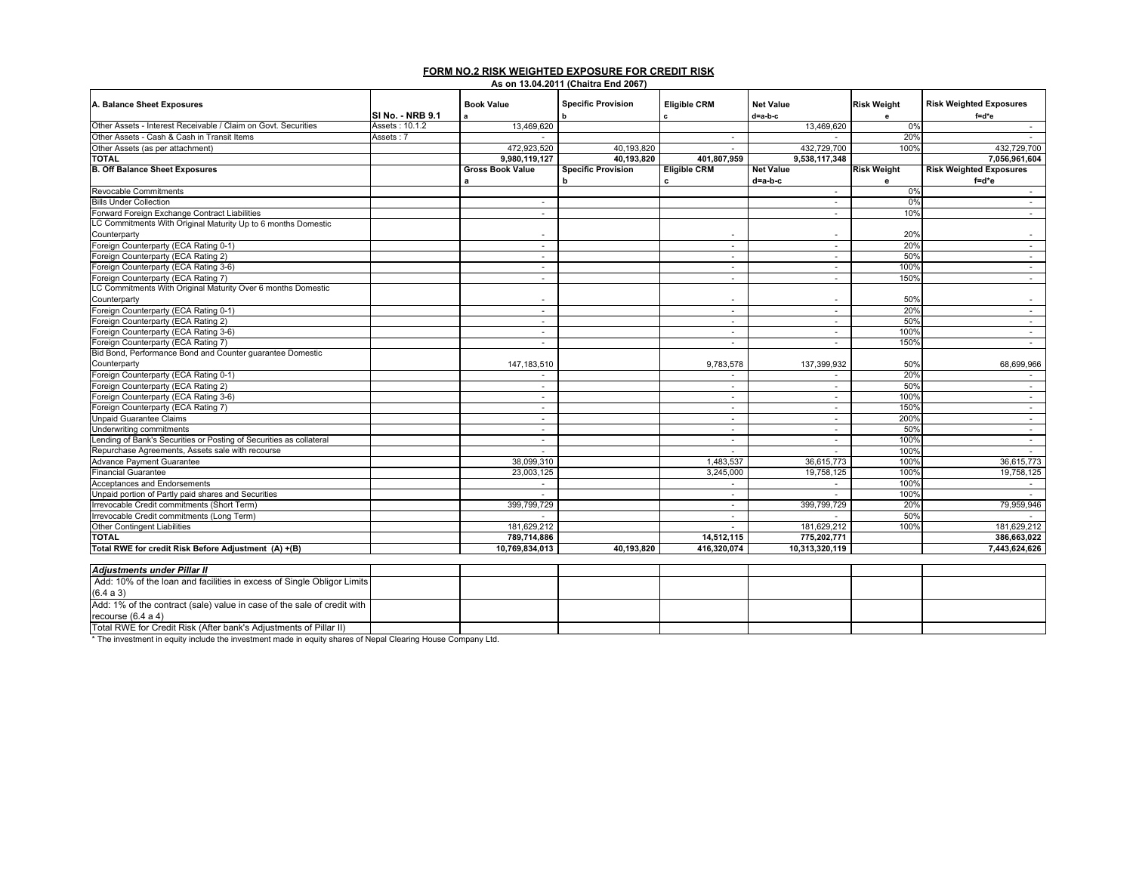# **FORM NO.2 RISK WEIGHTED EXPOSURE FOR CREDIT RISK As on 13.04.2011 (Chaitra End 2067)**

| A. Balance Sheet Exposures                                              |                  | <b>Book Value</b>        | <b>Specific Provision</b> | <b>Eligible CRM</b> | <b>Net Value</b>         | <b>Risk Weight</b> | <b>Risk Weighted Exposures</b> |
|-------------------------------------------------------------------------|------------------|--------------------------|---------------------------|---------------------|--------------------------|--------------------|--------------------------------|
|                                                                         | SI No. - NRB 9.1 | a                        |                           |                     | d=a-b-c                  | e                  | f=d*e                          |
| Other Assets - Interest Receivable / Claim on Govt. Securities          | Assets: 10.1.2   | 13,469,620               |                           |                     | 13,469,620               | 0%                 | $\sim$                         |
| Other Assets - Cash & Cash in Transit Items                             | Assets : 7       |                          |                           | $\sim$              |                          | 20%                |                                |
| Other Assets (as per attachment)                                        |                  | 472,923,520              | 40,193,820                | $\sim$              | 432,729,700              | 100%               | 432,729,700                    |
| <b>TOTAL</b>                                                            |                  | 9.980.119.127            | 40.193.820                | 401.807.959         | 9,538,117,348            |                    | 7.056.961.604                  |
| <b>B. Off Balance Sheet Exposures</b>                                   |                  | <b>Gross Book Value</b>  | <b>Specific Provision</b> | <b>Eligible CRM</b> | <b>Net Value</b>         | <b>Risk Weight</b> | <b>Risk Weighted Exposures</b> |
|                                                                         |                  |                          | h                         | c                   | d=a-b-c                  | е                  | f=d*e                          |
| Revocable Commitments                                                   |                  |                          |                           |                     | $\sim$                   | 0%                 | ×.                             |
| <b>Bills Under Collection</b>                                           |                  | $\sim$                   |                           |                     | $\sim$                   | 0%                 | $\sim$                         |
| Forward Foreign Exchange Contract Liabilities                           |                  | ×.                       |                           |                     | $\sim$                   | 10%                | ×.                             |
| LC Commitments With Original Maturity Up to 6 months Domestic           |                  |                          |                           |                     |                          |                    |                                |
| Counterparty                                                            |                  |                          |                           |                     | $\sim$                   | 20%                | $\sim$                         |
| Foreign Counterparty (ECA Rating 0-1)                                   |                  | $\sim$                   |                           | $\sim$              | $\sim$                   | 20%                | $\sim$                         |
| Foreign Counterparty (ECA Rating 2)                                     |                  | $\sim$                   |                           | $\sim$              | $\sim$                   | 50%                | $\sim$                         |
| Foreign Counterparty (ECA Rating 3-6)                                   |                  | $\sim$                   |                           | $\sim$              | $\sim$                   | 100%               | $\sim$                         |
| Foreign Counterparty (ECA Rating 7)                                     |                  | $\sim$                   |                           | $\sim$              | $\sim$                   | 150%               | $\sim$                         |
| LC Commitments With Original Maturity Over 6 months Domestic            |                  |                          |                           |                     |                          |                    |                                |
| Counterparty                                                            |                  |                          |                           | $\sim$              | $\overline{\phantom{a}}$ | 50%                | $\sim$                         |
| Foreign Counterparty (ECA Rating 0-1)                                   |                  | $\sim$                   |                           | $\sim$              | $\sim$                   | 20%                | $\sim$                         |
| Foreign Counterparty (ECA Rating 2)                                     |                  | $\sim$                   |                           | $\sim$              | $\sim$                   | 50%                | $\sim$                         |
| Foreign Counterparty (ECA Rating 3-6)                                   |                  | $\sim$                   |                           | $\sim$              | $\sim$                   | 100%               | $\sim$                         |
| Foreign Counterparty (ECA Rating 7)                                     |                  | $\sim$                   |                           | ٠                   | $\sim$                   | 150%               | $\sim$                         |
| Bid Bond, Performance Bond and Counter quarantee Domestic               |                  |                          |                           |                     |                          |                    |                                |
| Counterparty                                                            |                  | 147, 183, 510            |                           | 9,783,578           | 137,399,932              | 50%                | 68,699,966                     |
| Foreign Counterparty (ECA Rating 0-1)                                   |                  | $\sim$                   |                           | $\sim$              | $\sim$                   | 20%                | $\sim$                         |
| Foreign Counterparty (ECA Rating 2)                                     |                  | $\overline{\phantom{a}}$ |                           | $\sim$              | ۰.                       | 50%                | $\sim$                         |
| Foreign Counterparty (ECA Rating 3-6)                                   |                  | $\sim$                   |                           | $\sim$              | $\sim$                   | 100%               | $\sim$                         |
| Foreign Counterparty (ECA Rating 7)                                     |                  | $\overline{\phantom{a}}$ |                           | $\sim$              | $\sim$                   | 150%               | $\sim$                         |
| <b>Unpaid Guarantee Claims</b>                                          |                  | $\sim$                   |                           | $\sim$              | $\sim$                   | 200%               | $\sim$                         |
| Underwriting commitments                                                |                  | $\sim$                   |                           | $\sim$              | $\sim$                   | 50%                | $\sim$                         |
| Lending of Bank's Securities or Posting of Securities as collateral     |                  | $\sim$                   |                           | $\sim$              | $\sim$                   | 100%               | $\sim$                         |
| Repurchase Agreements, Assets sale with recourse                        |                  |                          |                           |                     |                          | 100%               |                                |
| <b>Advance Payment Guarantee</b>                                        |                  | 38,099,310               |                           | 1,483,537           | 36,615,773               | 100%               | 36,615,773                     |
| <b>Financial Guarantee</b>                                              |                  | 23,003,125               |                           | 3,245,000           | 19,758,125               | 100%               | 19,758,125                     |
| Acceptances and Endorsements                                            |                  |                          |                           | $\sim$              | $\sim$                   | 100%               |                                |
| Unpaid portion of Partly paid shares and Securities                     |                  |                          |                           | ٠                   |                          | 100%               |                                |
| Irrevocable Credit commitments (Short Term)                             |                  | 399,799,729              |                           | $\sim$              | 399,799,729              | 20%                | 79,959,946                     |
| Irrevocable Credit commitments (Long Term)                              |                  |                          |                           | ×.                  |                          | 50%                |                                |
| <b>Other Contingent Liabilities</b>                                     |                  | 181,629,212              |                           |                     | 181,629,212              | 100%               | 181,629,212                    |
| <b>TOTAL</b>                                                            |                  | 789,714,886              |                           | 14,512,115          | 775.202.771              |                    | 386,663,022                    |
| Total RWE for credit Risk Before Adjustment (A) +(B)                    |                  | 10,769,834,013           | 40,193,820                | 416,320,074         | 10,313,320,119           |                    | 7,443,624,626                  |
|                                                                         |                  |                          |                           |                     |                          |                    |                                |
| <b>Adjustments under Pillar II</b>                                      |                  |                          |                           |                     |                          |                    |                                |
| Add: 10% of the loan and facilities in excess of Single Obligor Limits  |                  |                          |                           |                     |                          |                    |                                |
| (6.4 a 3)                                                               |                  |                          |                           |                     |                          |                    |                                |
| Add: 1% of the contract (sale) value in case of the sale of credit with |                  |                          |                           |                     |                          |                    |                                |
| recourse $(6.4 a 4)$                                                    |                  |                          |                           |                     |                          |                    |                                |
| Total RWE for Credit Risk (After bank's Adjustments of Pillar II)       |                  |                          |                           |                     |                          |                    |                                |

\* The investment in equity include the investment made in equity shares of Nepal Clearing House Company Ltd.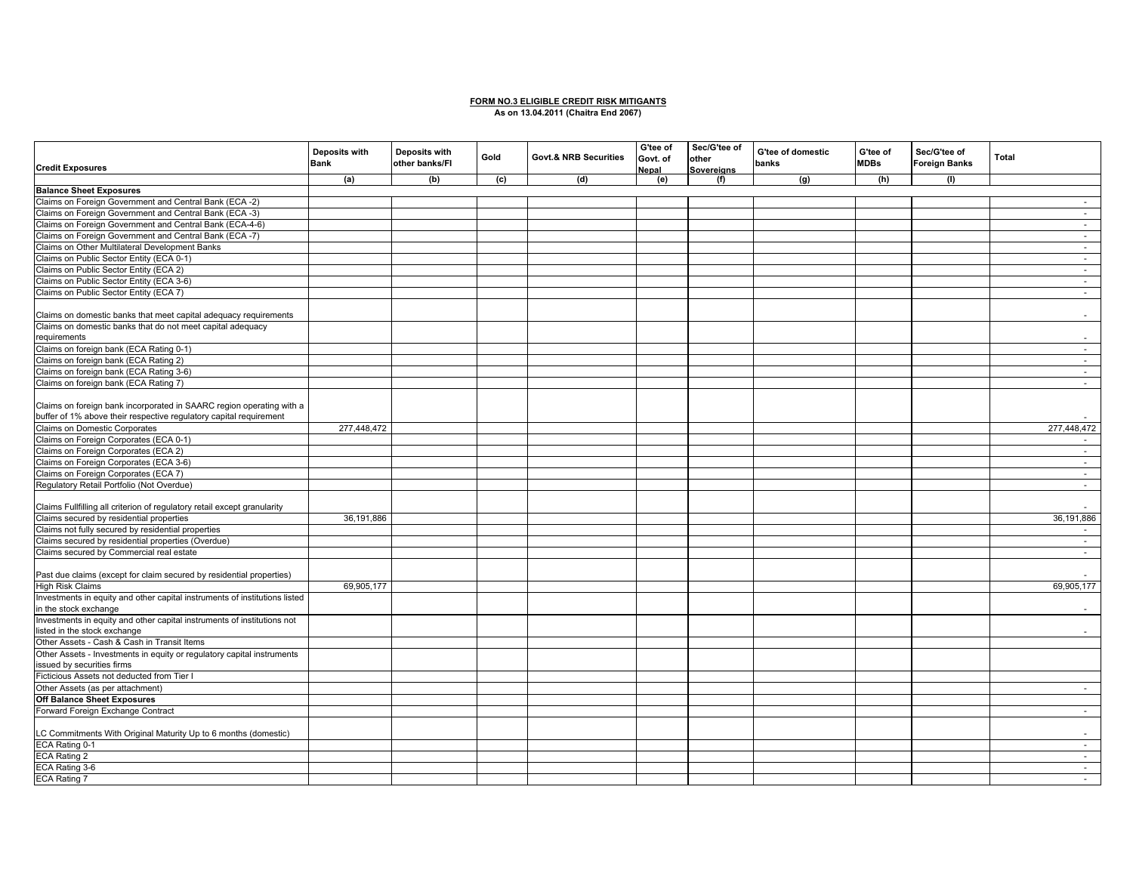#### **FORM NO.3 ELIGIBLE CREDIT RISK MITIGANTS As on 13.04.2011 (Chaitra End 2067)**

| <b>Credit Exposures</b>                                                    | Deposits with<br><b>Bank</b> | Deposits with<br>other banks/FI | Gold | <b>Govt.&amp; NRB Securities</b> | G'tee of<br>Govt. of<br>Nepal | Sec/G'tee of<br>other<br>Sovereians | G'tee of domestic<br>banks | G'tee of<br><b>MDBs</b> | Sec/G'tee of<br><b>Foreign Banks</b> | Total                    |
|----------------------------------------------------------------------------|------------------------------|---------------------------------|------|----------------------------------|-------------------------------|-------------------------------------|----------------------------|-------------------------|--------------------------------------|--------------------------|
|                                                                            | (a)                          | (b)                             | (c)  | (d)                              | (e)                           | (f)                                 | (g)                        | (h)                     | (1)                                  |                          |
| <b>Balance Sheet Exposures</b>                                             |                              |                                 |      |                                  |                               |                                     |                            |                         |                                      |                          |
| Claims on Foreign Government and Central Bank (ECA -2)                     |                              |                                 |      |                                  |                               |                                     |                            |                         |                                      | $\sim$                   |
| Claims on Foreign Government and Central Bank (ECA -3)                     |                              |                                 |      |                                  |                               |                                     |                            |                         |                                      | $\sim$                   |
| Claims on Foreign Government and Central Bank (ECA-4-6)                    |                              |                                 |      |                                  |                               |                                     |                            |                         |                                      | $\sim$                   |
| Claims on Foreign Government and Central Bank (ECA -7)                     |                              |                                 |      |                                  |                               |                                     |                            |                         |                                      | $\sim$                   |
| Claims on Other Multilateral Development Banks                             |                              |                                 |      |                                  |                               |                                     |                            |                         |                                      | $\sim$                   |
| Claims on Public Sector Entity (ECA 0-1)                                   |                              |                                 |      |                                  |                               |                                     |                            |                         |                                      | $\sim$                   |
| Claims on Public Sector Entity (ECA 2)                                     |                              |                                 |      |                                  |                               |                                     |                            |                         |                                      | $\sim$                   |
| Claims on Public Sector Entity (ECA 3-6)                                   |                              |                                 |      |                                  |                               |                                     |                            |                         |                                      | $\sim$                   |
| Claims on Public Sector Entity (ECA 7)                                     |                              |                                 |      |                                  |                               |                                     |                            |                         |                                      | $\sim$                   |
|                                                                            |                              |                                 |      |                                  |                               |                                     |                            |                         |                                      |                          |
| Claims on domestic banks that meet capital adequacy requirements           |                              |                                 |      |                                  |                               |                                     |                            |                         |                                      | $\overline{\phantom{a}}$ |
| Claims on domestic banks that do not meet capital adequacy                 |                              |                                 |      |                                  |                               |                                     |                            |                         |                                      |                          |
| requirements                                                               |                              |                                 |      |                                  |                               |                                     |                            |                         |                                      | $\sim$                   |
| Claims on foreign bank (ECA Rating 0-1)                                    |                              |                                 |      |                                  |                               |                                     |                            |                         |                                      | $\sim$                   |
| Claims on foreign bank (ECA Rating 2)                                      |                              |                                 |      |                                  |                               |                                     |                            |                         |                                      | $\sim$                   |
| Claims on foreign bank (ECA Rating 3-6)                                    |                              |                                 |      |                                  |                               |                                     |                            |                         |                                      | $\sim$                   |
| Claims on foreign bank (ECA Rating 7)                                      |                              |                                 |      |                                  |                               |                                     |                            |                         |                                      | $\sim$                   |
|                                                                            |                              |                                 |      |                                  |                               |                                     |                            |                         |                                      |                          |
| Claims on foreign bank incorporated in SAARC region operating with a       |                              |                                 |      |                                  |                               |                                     |                            |                         |                                      |                          |
| buffer of 1% above their respective regulatory capital requirement         |                              |                                 |      |                                  |                               |                                     |                            |                         |                                      |                          |
| Claims on Domestic Corporates                                              | 277,448,472                  |                                 |      |                                  |                               |                                     |                            |                         |                                      | 277,448,472              |
| Claims on Foreign Corporates (ECA 0-1)                                     |                              |                                 |      |                                  |                               |                                     |                            |                         |                                      |                          |
| Claims on Foreign Corporates (ECA 2)                                       |                              |                                 |      |                                  |                               |                                     |                            |                         |                                      | $\sim$                   |
| Claims on Foreign Corporates (ECA 3-6)                                     |                              |                                 |      |                                  |                               |                                     |                            |                         |                                      |                          |
|                                                                            |                              |                                 |      |                                  |                               |                                     |                            |                         |                                      | $\sim$                   |
| Claims on Foreign Corporates (ECA 7)                                       |                              |                                 |      |                                  |                               |                                     |                            |                         |                                      | $\sim$                   |
| Regulatory Retail Portfolio (Not Overdue)                                  |                              |                                 |      |                                  |                               |                                     |                            |                         |                                      | $\sim$                   |
|                                                                            |                              |                                 |      |                                  |                               |                                     |                            |                         |                                      |                          |
| Claims Fullfilling all criterion of regulatory retail except granularity   |                              |                                 |      |                                  |                               |                                     |                            |                         |                                      |                          |
| Claims secured by residential properties                                   | 36,191,886                   |                                 |      |                                  |                               |                                     |                            |                         |                                      | 36,191,886               |
| Claims not fully secured by residential properties                         |                              |                                 |      |                                  |                               |                                     |                            |                         |                                      |                          |
| Claims secured by residential properties (Overdue)                         |                              |                                 |      |                                  |                               |                                     |                            |                         |                                      | $\sim$                   |
| Claims secured by Commercial real estate                                   |                              |                                 |      |                                  |                               |                                     |                            |                         |                                      | $\sim$                   |
|                                                                            |                              |                                 |      |                                  |                               |                                     |                            |                         |                                      |                          |
| Past due claims (except for claim secured by residential properties)       |                              |                                 |      |                                  |                               |                                     |                            |                         |                                      | $\sim$                   |
| <b>High Risk Claims</b>                                                    | 69,905,177                   |                                 |      |                                  |                               |                                     |                            |                         |                                      | 69,905,177               |
| Investments in equity and other capital instruments of institutions listed |                              |                                 |      |                                  |                               |                                     |                            |                         |                                      |                          |
| in the stock exchange                                                      |                              |                                 |      |                                  |                               |                                     |                            |                         |                                      | $\sim$                   |
| Investments in equity and other capital instruments of institutions not    |                              |                                 |      |                                  |                               |                                     |                            |                         |                                      |                          |
| listed in the stock exchange                                               |                              |                                 |      |                                  |                               |                                     |                            |                         |                                      | $\sim$                   |
| Other Assets - Cash & Cash in Transit Items                                |                              |                                 |      |                                  |                               |                                     |                            |                         |                                      |                          |
| Other Assets - Investments in equity or regulatory capital instruments     |                              |                                 |      |                                  |                               |                                     |                            |                         |                                      |                          |
| issued by securities firms                                                 |                              |                                 |      |                                  |                               |                                     |                            |                         |                                      |                          |
| Ficticious Assets not deducted from Tier I                                 |                              |                                 |      |                                  |                               |                                     |                            |                         |                                      |                          |
| Other Assets (as per attachment)                                           |                              |                                 |      |                                  |                               |                                     |                            |                         |                                      | $\sim$                   |
| <b>Off Balance Sheet Exposures</b>                                         |                              |                                 |      |                                  |                               |                                     |                            |                         |                                      |                          |
| Forward Foreign Exchange Contract                                          |                              |                                 |      |                                  |                               |                                     |                            |                         |                                      | $\sim$                   |
|                                                                            |                              |                                 |      |                                  |                               |                                     |                            |                         |                                      |                          |
| LC Commitments With Original Maturity Up to 6 months (domestic)            |                              |                                 |      |                                  |                               |                                     |                            |                         |                                      | $\sim$                   |
| ECA Rating 0-1                                                             |                              |                                 |      |                                  |                               |                                     |                            |                         |                                      | $\sim$                   |
| ECA Rating 2                                                               |                              |                                 |      |                                  |                               |                                     |                            |                         |                                      | $\sim$                   |
| ECA Rating 3-6                                                             |                              |                                 |      |                                  |                               |                                     |                            |                         |                                      | $\sim$                   |
| <b>ECA Rating 7</b>                                                        |                              |                                 |      |                                  |                               |                                     |                            |                         |                                      | $\sim$                   |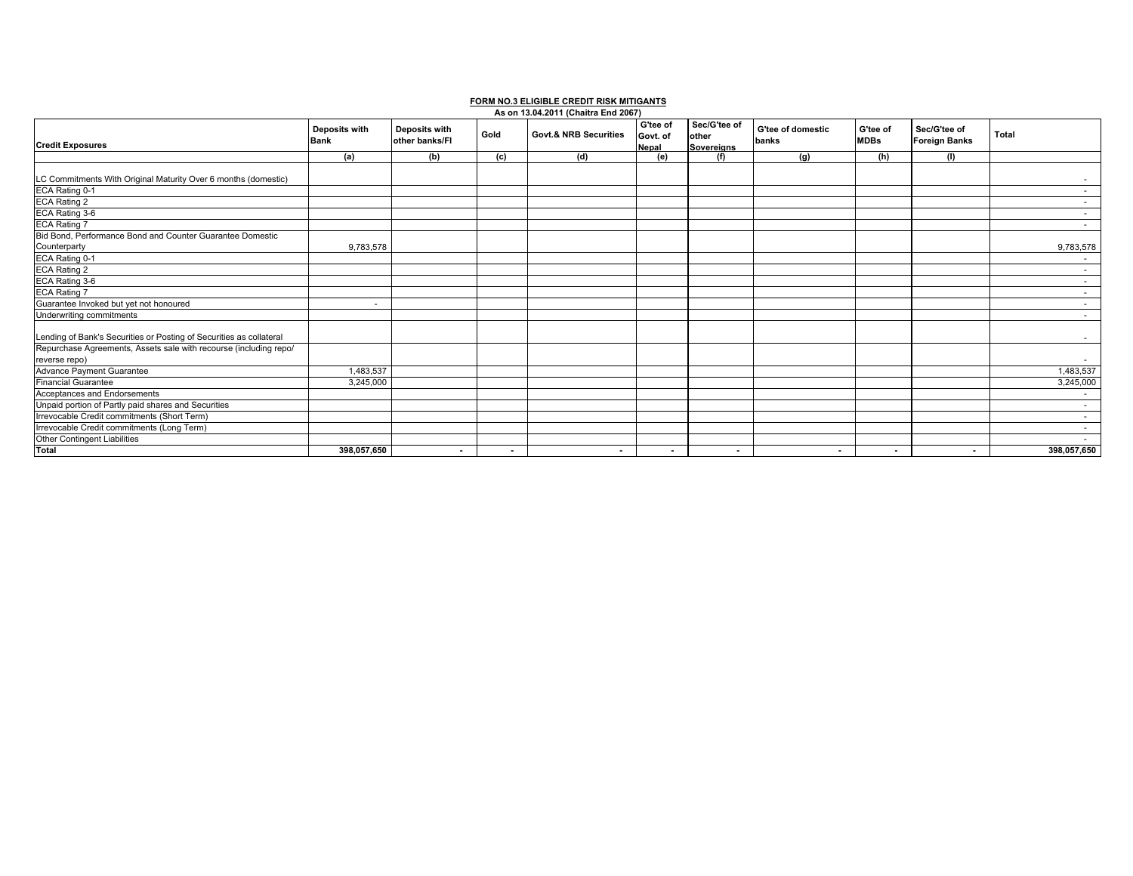## **FORM NO.3 ELIGIBLE CREDIT RISK MITIGANTS As on 13.04.2011 (Chaitra End 2067)**

|                                                                     |                              |                                        |                | As on 13.04.2011 (Chaitra End 2067) |                               |                                            |                            |                         |                                      |             |
|---------------------------------------------------------------------|------------------------------|----------------------------------------|----------------|-------------------------------------|-------------------------------|--------------------------------------------|----------------------------|-------------------------|--------------------------------------|-------------|
| <b>Credit Exposures</b>                                             | Deposits with<br><b>Bank</b> | <b>Deposits with</b><br>other banks/FI | Gold           | <b>Govt.&amp; NRB Securities</b>    | G'tee of<br>Govt. of<br>Nepal | Sec/G'tee of<br>other<br><b>Sovereians</b> | G'tee of domestic<br>banks | G'tee of<br><b>MDBs</b> | Sec/G'tee of<br><b>Foreign Banks</b> | Total       |
|                                                                     | (a)                          | (b)                                    | (c)            | (d)                                 | (e)                           | (f)                                        | (q)                        | (h)                     | (1)                                  |             |
|                                                                     |                              |                                        |                |                                     |                               |                                            |                            |                         |                                      |             |
| LC Commitments With Original Maturity Over 6 months (domestic)      |                              |                                        |                |                                     |                               |                                            |                            |                         |                                      |             |
| ECA Rating 0-1                                                      |                              |                                        |                |                                     |                               |                                            |                            |                         |                                      |             |
| ECA Rating 2                                                        |                              |                                        |                |                                     |                               |                                            |                            |                         |                                      |             |
| ECA Rating 3-6                                                      |                              |                                        |                |                                     |                               |                                            |                            |                         |                                      |             |
| ECA Rating 7                                                        |                              |                                        |                |                                     |                               |                                            |                            |                         |                                      |             |
| Bid Bond, Performance Bond and Counter Guarantee Domestic           |                              |                                        |                |                                     |                               |                                            |                            |                         |                                      |             |
| Counterparty                                                        | 9,783,578                    |                                        |                |                                     |                               |                                            |                            |                         |                                      | 9,783,578   |
| ECA Rating 0-1                                                      |                              |                                        |                |                                     |                               |                                            |                            |                         |                                      |             |
| <b>ECA Rating 2</b>                                                 |                              |                                        |                |                                     |                               |                                            |                            |                         |                                      |             |
| ECA Rating 3-6                                                      |                              |                                        |                |                                     |                               |                                            |                            |                         |                                      |             |
| <b>ECA Rating 7</b>                                                 |                              |                                        |                |                                     |                               |                                            |                            |                         |                                      |             |
| Guarantee Invoked but yet not honoured                              | $\overline{\phantom{a}}$     |                                        |                |                                     |                               |                                            |                            |                         |                                      |             |
| Underwriting commitments                                            |                              |                                        |                |                                     |                               |                                            |                            |                         |                                      |             |
|                                                                     |                              |                                        |                |                                     |                               |                                            |                            |                         |                                      |             |
| Lending of Bank's Securities or Posting of Securities as collateral |                              |                                        |                |                                     |                               |                                            |                            |                         |                                      | $\sim$      |
| Repurchase Agreements, Assets sale with recourse (including repo/   |                              |                                        |                |                                     |                               |                                            |                            |                         |                                      |             |
| reverse repo)                                                       |                              |                                        |                |                                     |                               |                                            |                            |                         |                                      |             |
| Advance Payment Guarantee                                           | 1,483,537                    |                                        |                |                                     |                               |                                            |                            |                         |                                      | 1,483,537   |
| <b>Financial Guarantee</b>                                          | 3,245,000                    |                                        |                |                                     |                               |                                            |                            |                         |                                      | 3,245,000   |
| Acceptances and Endorsements                                        |                              |                                        |                |                                     |                               |                                            |                            |                         |                                      |             |
| Unpaid portion of Partly paid shares and Securities                 |                              |                                        |                |                                     |                               |                                            |                            |                         |                                      |             |
| Irrevocable Credit commitments (Short Term)                         |                              |                                        |                |                                     |                               |                                            |                            |                         |                                      |             |
| Irrevocable Credit commitments (Long Term)                          |                              |                                        |                |                                     |                               |                                            |                            |                         |                                      |             |
| Other Contingent Liabilities                                        |                              |                                        |                |                                     |                               |                                            |                            |                         |                                      |             |
| <b>Total</b>                                                        | 398.057.650                  | $\sim$                                 | $\blacksquare$ | $\sim$                              | $\blacksquare$                | $\sim$                                     | $\sim$                     | $\sim$                  | $\sim$                               | 398,057,650 |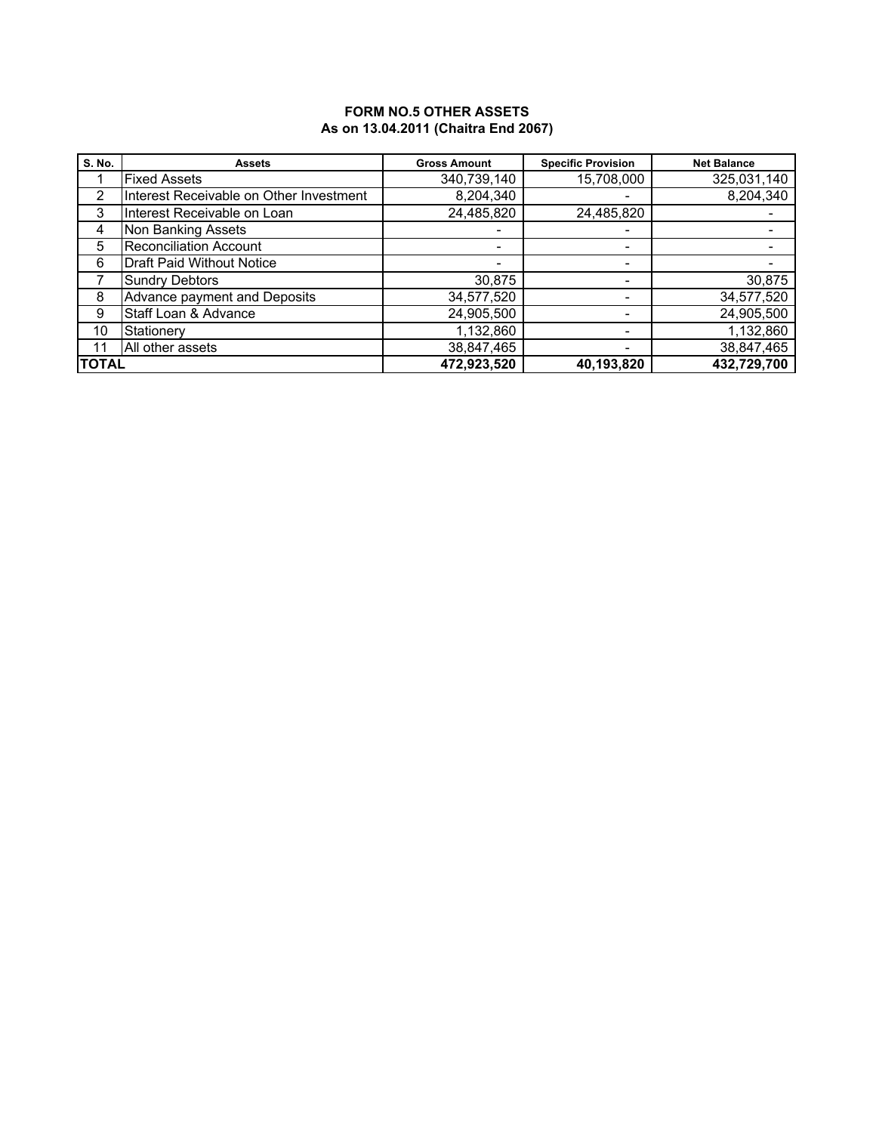### **FORM NO.5 OTHER ASSETS As on 13.04.2011 (Chaitra End 2067)**

| <b>S. No.</b> | <b>Assets</b>                           | <b>Gross Amount</b> | <b>Specific Provision</b> | <b>Net Balance</b> |
|---------------|-----------------------------------------|---------------------|---------------------------|--------------------|
|               | <b>Fixed Assets</b>                     | 340,739,140         | 15,708,000                | 325,031,140        |
| 2             | Interest Receivable on Other Investment | 8,204,340           |                           | 8,204,340          |
| 3             | Interest Receivable on Loan             | 24,485,820          | 24,485,820                |                    |
| 4             | Non Banking Assets                      |                     | $\overline{\phantom{0}}$  |                    |
| 5             | <b>Reconciliation Account</b>           |                     |                           |                    |
| 6             | <b>Draft Paid Without Notice</b>        |                     |                           |                    |
|               | <b>Sundry Debtors</b>                   | 30,875              |                           | 30,875             |
| 8             | Advance payment and Deposits            | 34,577,520          | $\overline{\phantom{0}}$  | 34,577,520         |
| 9             | Staff Loan & Advance                    | 24,905,500          | $\overline{\phantom{0}}$  | 24,905,500         |
| 10            | Stationery                              | 1,132,860           |                           | 1,132,860          |
| 11            | All other assets                        | 38,847,465          |                           | 38,847,465         |
| <b>TOTAL</b>  |                                         | 472,923,520         | 40,193,820                | 432,729,700        |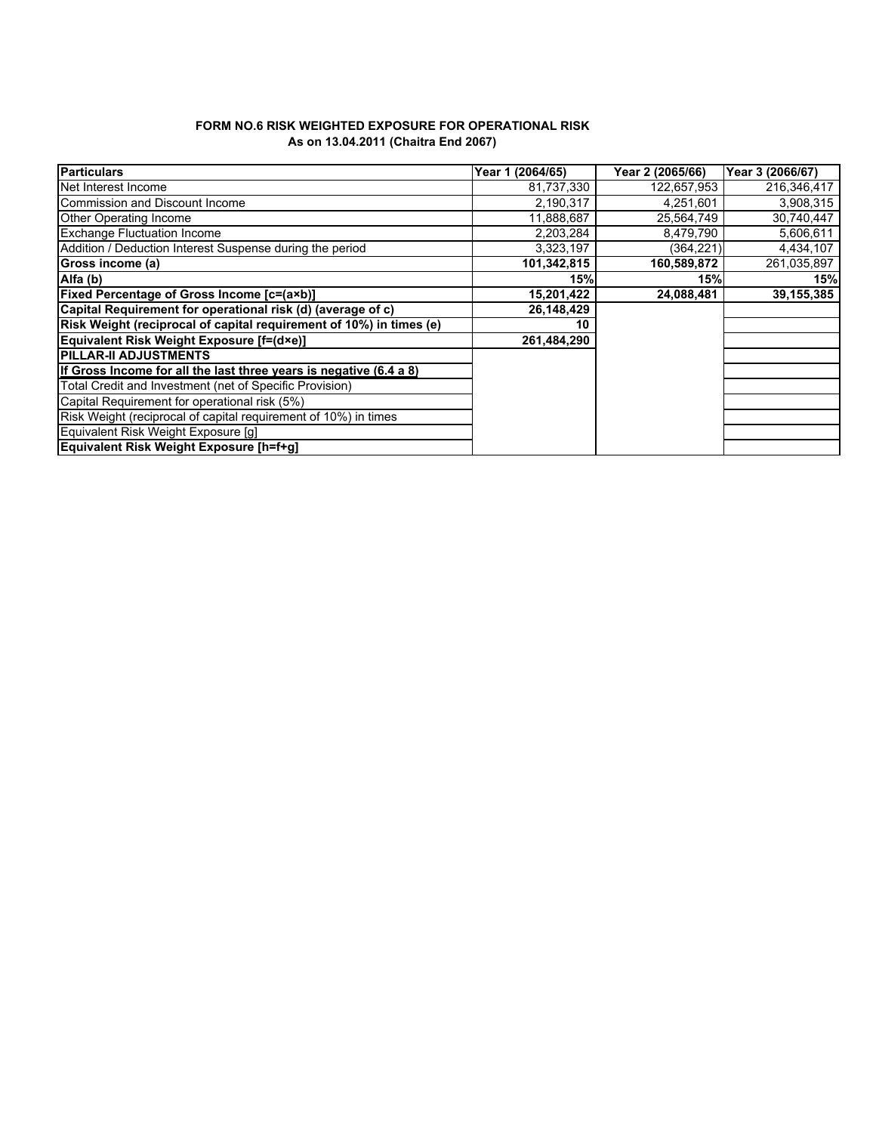#### **FORM NO.6 RISK WEIGHTED EXPOSURE FOR OPERATIONAL RISK As on 13.04.2011 (Chaitra End 2067)**

| <b>Particulars</b>                                                  | Year 1 (2064/65) | Year 2 (2065/66) | Year 3 (2066/67) |
|---------------------------------------------------------------------|------------------|------------------|------------------|
| Net Interest Income                                                 | 81,737,330       | 122,657,953      | 216,346,417      |
| Commission and Discount Income                                      | 2,190,317        | 4,251,601        | 3.908,315        |
| <b>Other Operating Income</b>                                       | 11,888,687       | 25,564,749       | 30,740,447       |
| <b>Exchange Fluctuation Income</b>                                  | 2,203,284        | 8,479,790        | 5,606,611        |
| Addition / Deduction Interest Suspense during the period            | 3,323,197        | (364,221)        | 4,434,107        |
| Gross income (a)                                                    | 101,342,815      | 160,589,872      | 261,035,897      |
| Alfa (b)                                                            | 15%              | 15%              | 15%              |
| <b>Fixed Percentage of Gross Income [c=(a×b)]</b>                   | 15,201,422       | 24,088,481       | 39, 155, 385     |
| Capital Requirement for operational risk (d) (average of c)         | 26,148,429       |                  |                  |
| Risk Weight (reciprocal of capital requirement of 10%) in times (e) | 10               |                  |                  |
| Equivalent Risk Weight Exposure [f=(d×e)]                           | 261,484,290      |                  |                  |
| <b>PILLAR-II ADJUSTMENTS</b>                                        |                  |                  |                  |
| If Gross Income for all the last three years is negative (6.4 a 8)  |                  |                  |                  |
| Total Credit and Investment (net of Specific Provision)             |                  |                  |                  |
| Capital Requirement for operational risk (5%)                       |                  |                  |                  |
| Risk Weight (reciprocal of capital requirement of 10%) in times     |                  |                  |                  |
| Equivalent Risk Weight Exposure [q]                                 |                  |                  |                  |
| Equivalent Risk Weight Exposure [h=f+g]                             |                  |                  |                  |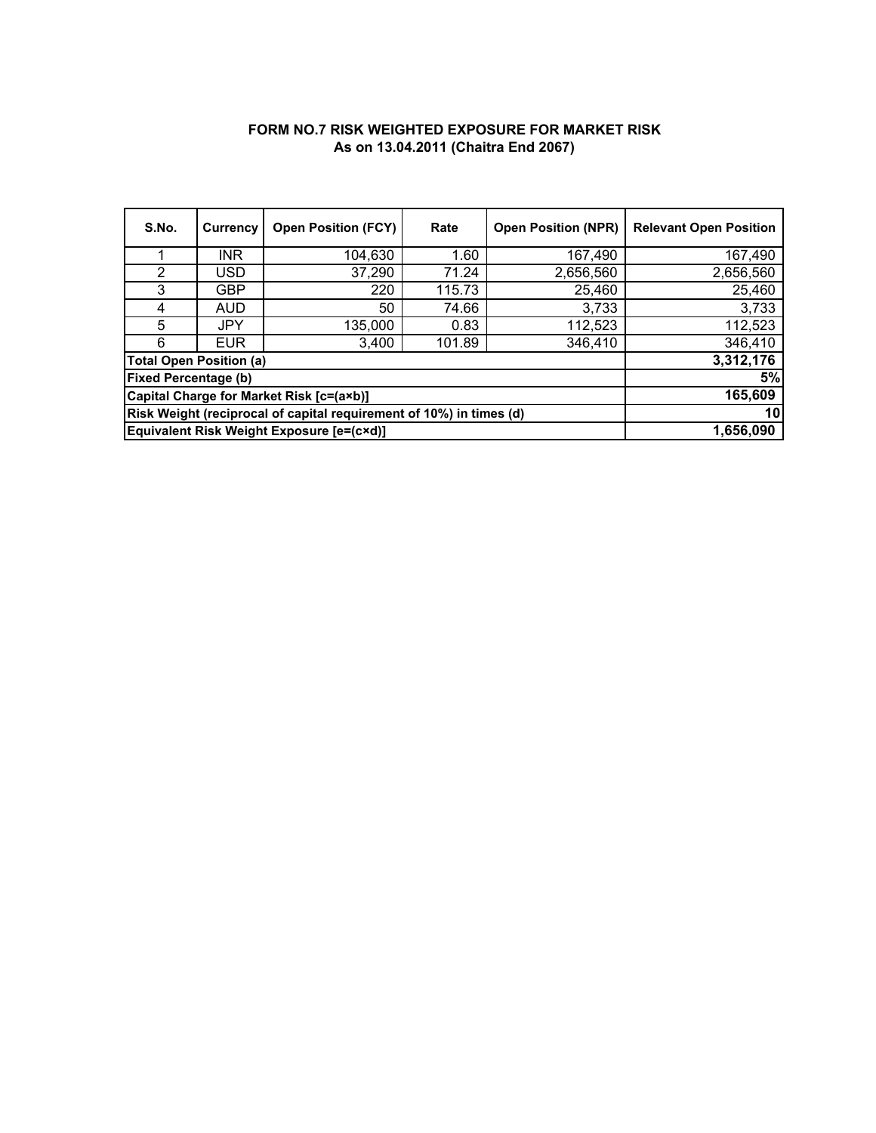## **FORM NO.7 RISK WEIGHTED EXPOSURE FOR MARKET RISK As on 13.04.2011 (Chaitra End 2067)**

| S.No.                                                               | Currency   | <b>Open Position (FCY)</b> | Rate   | <b>Open Position (NPR)</b> | <b>Relevant Open Position</b> |
|---------------------------------------------------------------------|------------|----------------------------|--------|----------------------------|-------------------------------|
|                                                                     | <b>INR</b> | 104,630                    | 1.60   | 167,490                    | 167,490                       |
| 2                                                                   | USD        | 37,290                     | 71.24  | 2,656,560                  | 2,656,560                     |
| 3                                                                   | <b>GBP</b> | 220                        | 115.73 | 25,460                     | 25,460                        |
| 4                                                                   | AUD        | 50                         | 74.66  | 3,733                      | 3,733                         |
| 5                                                                   | JPY        | 135,000                    | 0.83   | 112,523                    | 112,523                       |
| 6                                                                   | <b>EUR</b> | 3,400                      | 101.89 | 346,410                    | 346,410                       |
| <b>Total Open Position (a)</b>                                      |            |                            |        |                            | 3,312,176                     |
| <b>Fixed Percentage (b)</b>                                         |            |                            |        |                            | 5%                            |
| Capital Charge for Market Risk [c=(a×b)]                            | 165,609    |                            |        |                            |                               |
| Risk Weight (reciprocal of capital requirement of 10%) in times (d) | 10         |                            |        |                            |                               |
| Equivalent Risk Weight Exposure [e=(c×d)]                           | 1,656,090  |                            |        |                            |                               |